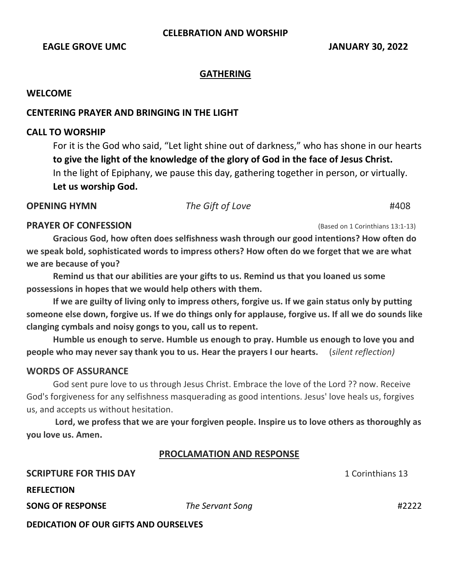# **CELEBRATION AND WORSHIP**

### **EAGLE GROVE UMC IMMOVE SERVICE SERVICE SERVICE SERVICE SERVICE SERVICE SERVICE SERVICE SERVICE SERVICE SERVICE SERVICE SERVICE SERVICE SERVICE SERVICE SERVICE SERVICE SERVICE SERVICE SERVICE SERVICE SERVICE SERVICE SERV**

#### **GATHERING**

## **WELCOME**

## **CENTERING PRAYER AND BRINGING IN THE LIGHT**

## **CALL TO WORSHIP**

For it is the God who said, "Let light shine out of darkness," who has shone in our hearts **to give the light of the knowledge of the glory of God in the face of Jesus Christ.**  In the light of Epiphany, we pause this day, gathering together in person, or virtually. **Let us worship God.** 

**OPENING HYMN** *The Gift of Love* #408

#### **PRAYER OF CONFESSION** *PRAYER OF CONFESSION (Based on 1 Corinthians 13:1-13)*

**Gracious God, how often does selfishness wash through our good intentions? How often do we speak bold, sophisticated words to impress others? How often do we forget that we are what we are because of you?** 

**Remind us that our abilities are your gifts to us. Remind us that you loaned us some possessions in hopes that we would help others with them.** 

**If we are guilty of living only to impress others, forgive us. If we gain status only by putting someone else down, forgive us. If we do things only for applause, forgive us. If all we do sounds like clanging cymbals and noisy gongs to you, call us to repent.** 

**Humble us enough to serve. Humble us enough to pray. Humble us enough to love you and people who may never say thank you to us. Hear the prayers I our hearts.** (*silent reflection)*

### **WORDS OF ASSURANCE**

God sent pure love to us through Jesus Christ. Embrace the love of the Lord ?? now. Receive God's forgiveness for any selfishness masquerading as good intentions. Jesus' love heals us, forgives us, and accepts us without hesitation.

**Lord, we profess that we are your forgiven people. Inspire us to love others as thoroughly as you love us. Amen.**

## **PROCLAMATION AND RESPONSE**

| <b>SCRIPTURE FOR THIS DAY</b>                |                  | 1 Corinthians 13 |
|----------------------------------------------|------------------|------------------|
| <b>REFLECTION</b>                            |                  |                  |
| <b>SONG OF RESPONSE</b>                      | The Servant Song | #2222            |
| <b>DEDICATION OF OUR GIFTS AND OURSELVES</b> |                  |                  |